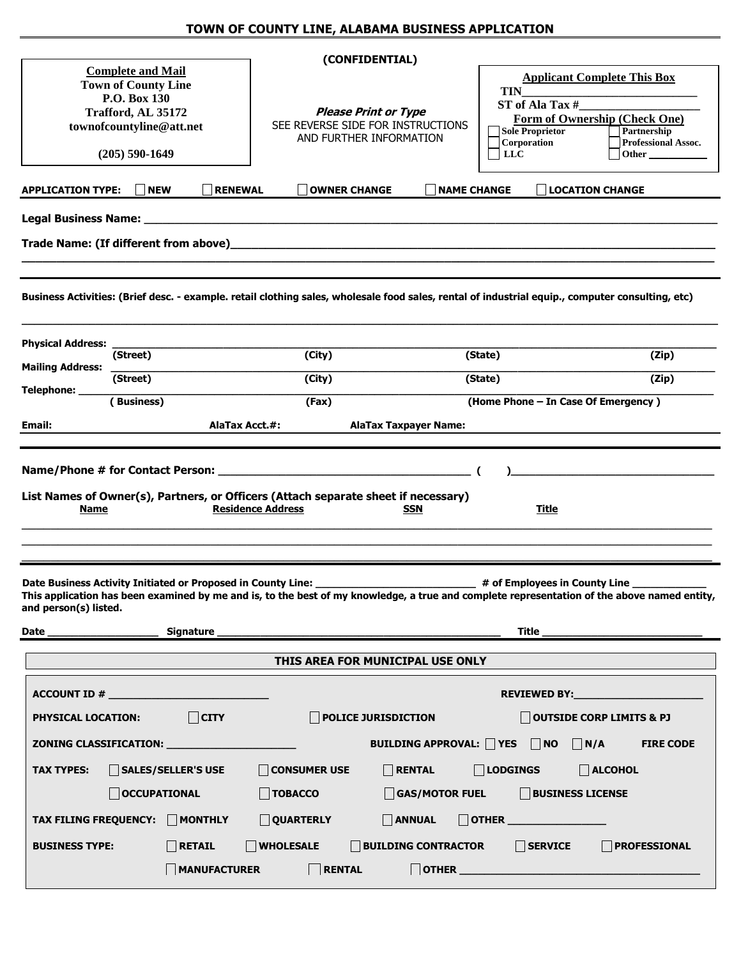|                                                                                                                                                                   |                                 |                                                                                             | (CONFIDENTIAL)                                                                            |                                                                                                                                                                                                                                                                                                                                                                                                                                                   |                                                                                                                                             |
|-------------------------------------------------------------------------------------------------------------------------------------------------------------------|---------------------------------|---------------------------------------------------------------------------------------------|-------------------------------------------------------------------------------------------|---------------------------------------------------------------------------------------------------------------------------------------------------------------------------------------------------------------------------------------------------------------------------------------------------------------------------------------------------------------------------------------------------------------------------------------------------|---------------------------------------------------------------------------------------------------------------------------------------------|
| <b>Complete and Mail</b><br><b>Town of County Line</b><br>P.O. Box 130<br>Trafford, AL 35172<br>townofcountyline@att.net<br>$(205)$ 590-1649                      |                                 | <b>Please Print or Type</b><br>SEE REVERSE SIDE FOR INSTRUCTIONS<br>AND FURTHER INFORMATION |                                                                                           | <b>Applicant Complete This Box</b><br><b>TIN</b><br>ST of Ala Tax #<br>Form of Ownership (Check One)<br><b>Sole Proprietor</b><br>Partnership<br>Corporation<br><b>Professional Assoc.</b><br>$_{\rm LLC}$<br><b>Other</b> and the state of the state of the state of the state of the state of the state of the state of the state of the state of the state of the state of the state of the state of the state of the state of the state of th |                                                                                                                                             |
| <b>APPLICATION TYPE:</b>                                                                                                                                          | <b>II</b> NEW<br><b>RENEWAL</b> | <b>OWNER CHANGE</b>                                                                         | <b>NAME CHANGE</b>                                                                        |                                                                                                                                                                                                                                                                                                                                                                                                                                                   | <b>LOCATION CHANGE</b>                                                                                                                      |
|                                                                                                                                                                   |                                 |                                                                                             |                                                                                           |                                                                                                                                                                                                                                                                                                                                                                                                                                                   |                                                                                                                                             |
| Business Activities: (Brief desc. - example. retail clothing sales, wholesale food sales, rental of industrial equip., computer consulting, etc)                  |                                 |                                                                                             |                                                                                           |                                                                                                                                                                                                                                                                                                                                                                                                                                                   |                                                                                                                                             |
| <b>Physical Address:</b><br>(Street)                                                                                                                              |                                 | (City)                                                                                      |                                                                                           | (State)                                                                                                                                                                                                                                                                                                                                                                                                                                           | (Zip)                                                                                                                                       |
| <b>Mailing Address:</b><br>(Street)                                                                                                                               |                                 | (City)                                                                                      |                                                                                           | (State)                                                                                                                                                                                                                                                                                                                                                                                                                                           | (Zip)                                                                                                                                       |
| Telephone: ____<br>(Business)                                                                                                                                     |                                 | (Fax)                                                                                       |                                                                                           | (Home Phone - In Case Of Emergency)                                                                                                                                                                                                                                                                                                                                                                                                               |                                                                                                                                             |
| Email:                                                                                                                                                            | AlaTax Acct.#:                  |                                                                                             | <b>AlaTax Taxpayer Name:</b>                                                              |                                                                                                                                                                                                                                                                                                                                                                                                                                                   |                                                                                                                                             |
| List Names of Owner(s), Partners, or Officers (Attach separate sheet if necessary)<br><b>Name</b><br>Date Business Activity Initiated or Proposed in County Line: |                                 | <b>Residence Address</b>                                                                    | <b>SSN</b>                                                                                | Title<br>4 of Employees in County Line _____                                                                                                                                                                                                                                                                                                                                                                                                      |                                                                                                                                             |
| and person(s) listed.                                                                                                                                             |                                 |                                                                                             |                                                                                           |                                                                                                                                                                                                                                                                                                                                                                                                                                                   | This application has been examined by me and is, to the best of my knowledge, a true and complete representation of the above named entity, |
|                                                                                                                                                                   |                                 |                                                                                             |                                                                                           |                                                                                                                                                                                                                                                                                                                                                                                                                                                   |                                                                                                                                             |
|                                                                                                                                                                   |                                 |                                                                                             | THIS AREA FOR MUNICIPAL USE ONLY                                                          |                                                                                                                                                                                                                                                                                                                                                                                                                                                   |                                                                                                                                             |
| ACCOUNT ID #<br><b>PHYSICAL LOCATION:</b><br>ZONING CLASSIFICATION: _______________________                                                                       | $\Box$ CITY                     |                                                                                             | $\Box$ POLICE JURISDICTION<br>BUILDING APPROVAL: $\bigcap$ YES $\bigcap$ NO $\bigcap$ N/A |                                                                                                                                                                                                                                                                                                                                                                                                                                                   | OUTSIDE CORP LIMITS & PJ<br><b>FIRE CODE</b>                                                                                                |
| $\Box$ CONSUMER USE<br>$\n  RENTAL\n$<br>$\Box$ Lodgings<br>$\Box$ ALCOHOL<br>$\Box$ SALES/SELLER'S USE<br><b>TAX TYPES:</b>                                      |                                 |                                                                                             |                                                                                           |                                                                                                                                                                                                                                                                                                                                                                                                                                                   |                                                                                                                                             |
| <b>BUSINESS LICENSE</b><br>$\bigcap$ OCCUPATIONAL<br>$\Box$ TOBACCO<br>$\Box$ GAS/MOTOR FUEL                                                                      |                                 |                                                                                             |                                                                                           |                                                                                                                                                                                                                                                                                                                                                                                                                                                   |                                                                                                                                             |
| TAX FILING FREQUENCY: MONTHLY                                                                                                                                     |                                 | QUARTERLY                                                                                   | $\Box$ ANNUAL                                                                             | $\Box$ OTHER $\_\_$                                                                                                                                                                                                                                                                                                                                                                                                                               |                                                                                                                                             |
| <b>BUSINESS TYPE:</b>                                                                                                                                             | $\Box$ RETAIL                   | <b>WHOLESALE</b>                                                                            | <b>BUILDING CONTRACTOR</b>                                                                | $\Box$ SERVICE                                                                                                                                                                                                                                                                                                                                                                                                                                    | <b>PROFESSIONAL</b>                                                                                                                         |
|                                                                                                                                                                   | $\Box$ MANUFACTURER             | $\Box$ RENTAL                                                                               |                                                                                           |                                                                                                                                                                                                                                                                                                                                                                                                                                                   | $\begin{tabular}{ c c c c } \hline \rule{0pt}{.5ex} \text{OTHER} & \rule{2pt}{.5ex} \end{tabular}$                                          |